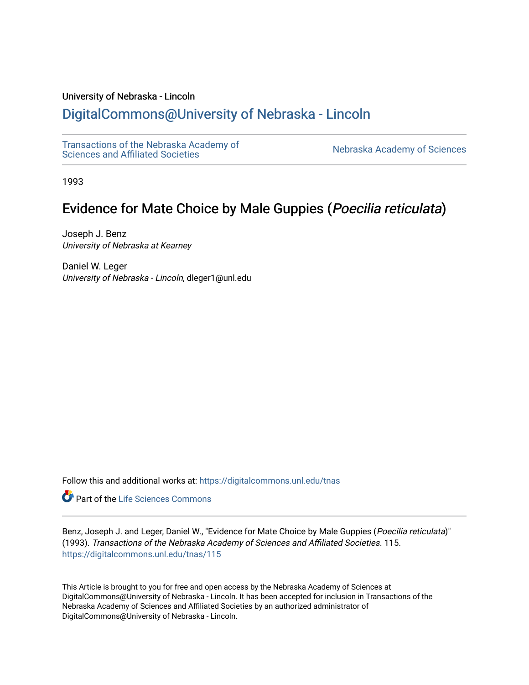## University of Nebraska - Lincoln

# [DigitalCommons@University of Nebraska - Lincoln](https://digitalcommons.unl.edu/)

[Transactions of the Nebraska Academy of](https://digitalcommons.unl.edu/tnas)  Transactions of the Nebraska Academy of Sciences<br>Sciences and Affiliated Societies

1993

# Evidence for Mate Choice by Male Guppies (Poecilia reticulata)

Joseph J. Benz University of Nebraska at Kearney

Daniel W. Leger University of Nebraska - Lincoln, dleger1@unl.edu

Follow this and additional works at: [https://digitalcommons.unl.edu/tnas](https://digitalcommons.unl.edu/tnas?utm_source=digitalcommons.unl.edu%2Ftnas%2F115&utm_medium=PDF&utm_campaign=PDFCoverPages) 

**Part of the Life Sciences Commons** 

Benz, Joseph J. and Leger, Daniel W., "Evidence for Mate Choice by Male Guppies (Poecilia reticulata)" (1993). Transactions of the Nebraska Academy of Sciences and Affiliated Societies. 115. [https://digitalcommons.unl.edu/tnas/115](https://digitalcommons.unl.edu/tnas/115?utm_source=digitalcommons.unl.edu%2Ftnas%2F115&utm_medium=PDF&utm_campaign=PDFCoverPages) 

This Article is brought to you for free and open access by the Nebraska Academy of Sciences at DigitalCommons@University of Nebraska - Lincoln. It has been accepted for inclusion in Transactions of the Nebraska Academy of Sciences and Affiliated Societies by an authorized administrator of DigitalCommons@University of Nebraska - Lincoln.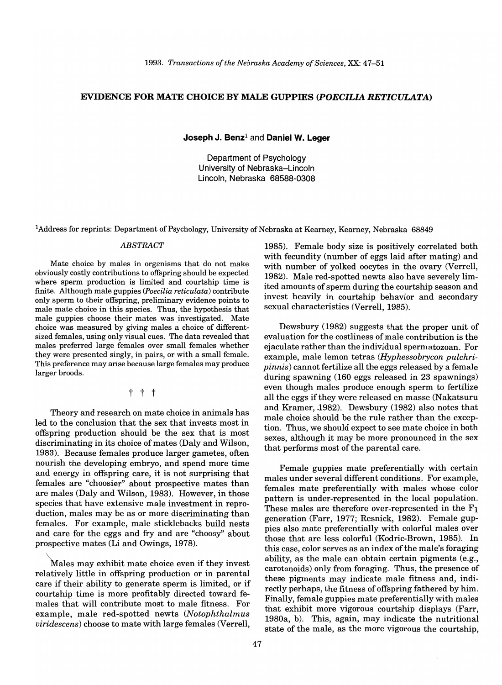### EVIDENCE FOR MATE CHOICE BY MALE GUPPIES *(POECILIA RETICULATA)*

Joseph J. Benz $<sup>1</sup>$  and Daniel W. Leger</sup>

Department of Psychology University of Nebraska-Lincoln Lincoln, Nebraska 68588-0308

lAddress for reprints: Department of Psychology, University of Nebraska at Kearney, Kearney, Nebraska 68849

Mate choice by males in organisms that do not make obviously costly contributions to offspring should be expected where sperm production is limited and courtship time is finite. Although male guppies *(Poecilia reticulata)* contribute only sperm to their offspring, preliminary evidence points to male mate choice in this species. Thus, the hypothesis that male guppies choose their mates was investigated. Mate choice was measured by giving males a choice of differentsized females, using only visual cues. The data revealed that males preferred large females over small females whether they were presented singly, in pairs, or with a small female. This preference may arise because large females may produce larger broods.

## t t t

Theory and research on mate choice in animals has led to the conclusion that the sex that invests most in offspring production should be the sex that is most discriminating in its choice of mates (Daly and Wilson, 1983). Because females produce larger gametes, often nourish the developing embryo, and spend more time and energy in offspring care, it is not surprising that females are "choosier" about prospective mates than are males (Daly and Wilson, 1983). However, in those species that have extensive male investment in reproduction, males may be as or more discriminating than females. For example, male sticklebacks build nests and care for the eggs and fry and are "choosy" about prospective mates (Li and Owings, 1978).

Males may exhibit mate choice even if they invest relatively little in offspring production or in parental care if their ability to generate sperm is limited, or if courtship time is more profitably directed toward females that will contribute most to male fitness. For example, male red-spotted newts *(Notophthalmus viridescens)* choose to mate with large females (Verrell,

*ABSTRACT* 1985). Female body size is positively correlated both with fecundity (number of eggs laid after mating) and with number of yolked oocytes in the ovary (Verrell, 1982). Male red-spotted newts also have severely limited amounts of sperm during the courtship season and invest heavily in courtship behavior and secondary sexual characteristics (Verrell, 1985).

> Dewsbury (1982) suggests that the proper unit of evaluation for the costliness of male contribution is the ejaculate rather than the individual spermatozoan. For example, male lemon tetras *(Hyphessobrycon pulchripinnis)* cannot fertilize all the eggs released by a female during spawning (160 eggs released in 23 spawnings) even though males produce enough sperm to fertilize all the eggs if they were released en masse (Nakatsuru and Kramer, 1982). Dewsbury (1982) also notes that male choice should be the rule rather than the exception. Thus, we should expect to see mate choice in both sexes, although it may be more pronounced in the sex that performs most of the parental care.

> Female guppies mate preferentially with certain males under several different conditions. For example, females mate preferentially with males whose color pattern is under-represented in the local population. These males are therefore over-represented in the  $F_1$ generation (Farr, 1977; Resnick, 1982). Female guppies also mate preferentially with colorful males over those that are less colorful (Kodric-Brown, 1985). In this case, color serves as an index of the male's foraging ability, as the male can obtain certain pigments (e.g., carotenoids) only from foraging. Thus, the presence of these pigments may indicate male fitness and, indirectly perhaps, the fitness of offspring fathered by him. Finally, female guppies mate preferentially with males that exhibit more vigorous courtship displays (Farr, 1980a, b). This, again, may indicate the nutritional state of the male, as the more vigorous the courtship,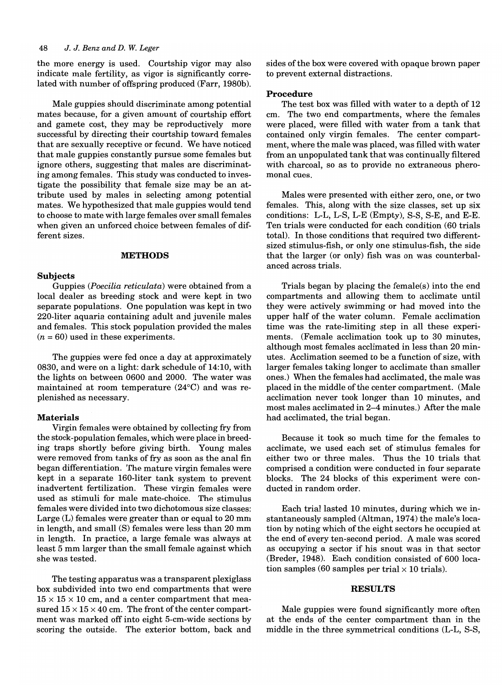#### *48* J. J. *Benz and* D. *W. Leger*

the more energy is used. Courtship vigor may also indicate male fertility, as vigor is significantly correlated with number of offspring produced (Farr, 1980b).

Male guppies should discriminate among potential mates because, for a given amount of courtship effort and gamete cost, they may be reproductively more successful by directing their courtship toward females that are sexually receptive or fecund. We have noticed that male guppies constantly pursue some females but ignore others, suggesting that males are discriminating among females. This study was conducted to investigate the possibility that female size may be an attribute used by males in selecting among potential mates. We hypothesized that male guppies would tend to choose to mate with large females over small females when given an unforced choice between females of different sizes.

#### **METHODS**

#### Subjects

Guppies *(Poecilia reticulata)* were obtained from a local dealer as breeding stock and were kept in two separate populations. One population was kept in two 220-liter aquaria containing adult and juvenile males and females. This stock population provided the males  $(n = 60)$  used in these experiments.

The guppies were fed once a day at approximately 0830, and were on a light: dark schedule of 14:10, with the lights on between 0600 and 2000. The water was maintained at room temperature (24°C) and was replenished as necessary.

#### Materials

Virgin females were obtained by collecting fry from the stock-population females, which were place in breeding traps shortly before giving birth. Young males were removed from tanks of fry as soon as the anal fin began differentiation. The mature virgin females were kept in a separate 160-liter tank system to prevent inadvertent fertilization. These virgin females were used as stimuli for male mate-choice. The stimulus females were divided into two dichotomous size classes: Large (L) females were greater than or equal to 20 mm in length, and small (S) females were less than 20 mm in length. In practice, a large female was always at least 5 mm larger than the small female against which she was tested.

The testing apparatus was a transparent plexiglass box subdivided into two end compartments that were  $15 \times 15 \times 10$  cm, and a center compartment that measured  $15 \times 15 \times 40$  cm. The front of the center compartment was marked off into eight 5-cm-wide sections by scoring the outside. The exterior bottom, back and sides of the box were covered with opaque brown paper to prevent external distractions.

#### Procedure

The test box was filled with water to a depth of 12 cm. The two end compartments, where the females were placed, were filled with water from a tank that contained only virgin females. The center compartment, where the male was placed, was filled with water from an unpopulated tank that was continually filtered with charcoal, so as to provide no extraneous pheromonal cues.

Males were presented with either zero, one, or two females. This, along with the size classes, set up six conditions: L-L, L-S, L-E (Empty), S-S, S-E, and E-E. Ten trials were conducted for each condition (60 trials total). In those conditions that required two differentsized stimulus-fish, or only one stimulus-fish, the side that the larger (or only) fish was on was counterbalanced across trials.

Trials began by placing the female(s) into the end compartments and allowing them to acclimate until they were actively swimming or had moved into the upper half of the water column. Female acclimation time was the rate-limiting step in all these experiments. (Female acclimation took up to 30 minutes, although most females acclimated in less than 20 minutes. Acclimation seemed to be a function of size, with larger females taking longer to acclimate than smaller ones.) When the females had acclimated, the male was placed in the middle of the center compartment. (Male acclimation never took longer than 10 minutes, and most males acclimated in 2-4 minutes.) After the male had acclimated, the trial began.

Because it took so much time for the females to acclimate, we used each set of stimulus females for either two or three males. Thus the 10 trials that comprised a condition were conducted in four separate blocks. The 24 blocks of this experiment were conducted in random order.

Each trial lasted 10 minutes, during which we instantaneously sampled (Altman, 1974) the male's location by noting which of the eight sectors he occupied at the end of every ten-second period. A male was scored as occupying a sector if his snout was in that sector (Breder, 1948). Each condition consisted of 600 location samples (60 samples per trial  $\times$  10 trials).

#### RESULTS

Male guppies were found significantly more often at the ends of the center compartment than in the middle in the three symmetrical conditions (L-L, S-S,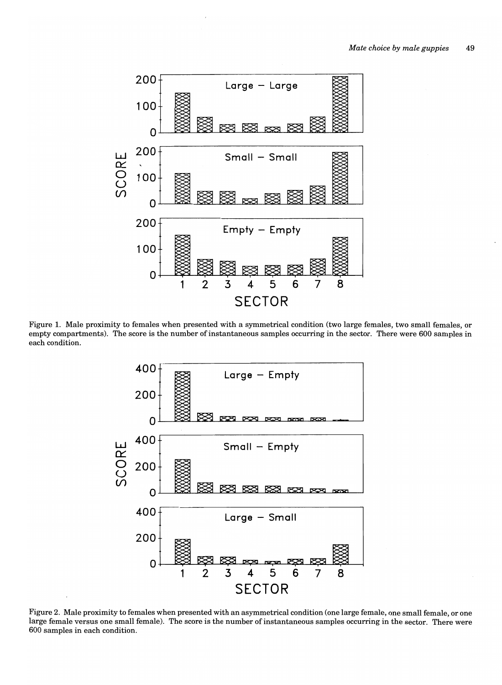

Figure 1. Male proximity to females when presented with a symmetrical condition (two large females, two small females, or empty compartments). The score is the number of instantaneous samples occurring in the sector. There were 600 samples in each condition.



Figure 2. Male proximity to females when presented with an asymmetrical condition (one large female, one small female, or one large female versus one small female). The score is the number of instantaneous samples occurring in the sector. There were 600 samples in each condition.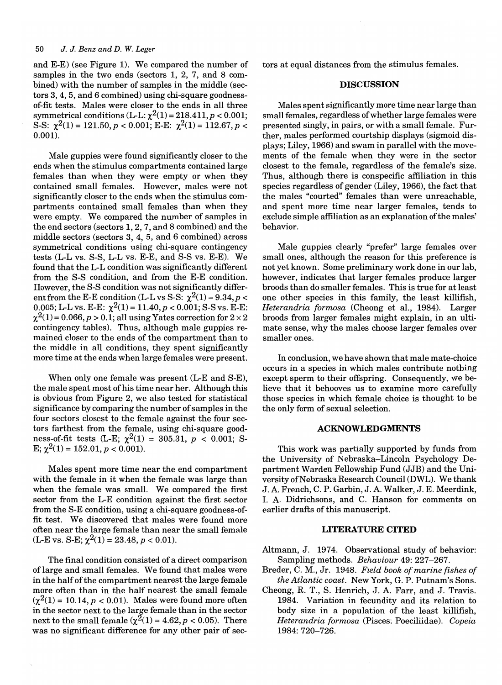### *50 J. J. Benz and D.* W. *Leger*

and E-E) (see Figure 1). We compared the number of samples in the two ends (sectors 1, 2, 7, and 8 combined) with the number of samples in the middle (sectors 3, 4, 5, and 6 combined) using chi-square goodnessof-fit tests. Males were closer to the ends in all three symmetrical conditions (L-L:  $\chi^2(1) = 218.411, p < 0.001;$ S-S:  $\chi^2(1) = 121.50, p < 0.001$ ; E-E:  $\chi^2(1) = 112.67, p <$ 0.001).

Male guppies were found significantly closer to the ends when the stimulus compartments contained large females than when they were empty or when they contained small females. However, males were not significantly closer to the ends when the stimulus compartments contained small females than when they were empty. We compared the number of samples in the end sectors (sectors 1, 2, 7, and 8 combined) and the middle sectors (sectors 3, 4, 5, and 6 combined) across symmetrical conditions using chi-square contingency tests (L-L vs. S-S, L-L vs. E-E, and S-S vs. E-E). We found that the L-L condition was significantly different from the S-S condition, and from the E-E condition. However, the S-S condition was not significantly different from the E-E condition (L-L vs S-S:  $\chi^2(1) = 9.34, p <$ 0.005; L-L vs. E-E:  $\chi^2(1) = 11.40, p < 0.001$ ; S-S vs. E-E:  $\chi^2(1) = 0.066, p > 0.1$ ; all using Yates correction for  $2 \times 2$ contingency tables). Thus, although male guppies remained closer to the ends of the compartment than to the middle in all conditions, they spent significantly more time at the ends when large females were present.

When only one female was present (L-E and S-E), the male spent most of his time near her. Although this is obvious from Figure 2, we also tested for statistical significance by comparing the number of samples in the four sectors closest to the female against the four sectors farthest from the female, using chi-square goodness-of-fit tests (L-E;  $\chi^2(1) = 305.31, p < 0.001$ ; S-E;  $\chi^2(1) = 152.01, p < 0.001$ .

Males spent more time near the end compartment with the female in it when the female was large than when the female was small. We compared the first sector from the L-E condition against the first sector from the S-E condition, using a chi-square goodness-offit test. We discovered that males were found more often near the large female than near the small female  $(L-E \text{ vs. S-E}; \chi^2(1) = 23.48, p < 0.01).$ 

The final condition consisted of a direct comparison of large and small females. We found that males were in the half of the compartment nearest the large female more often than in the half nearest the small female  $(\chi^2(1) = 10.14, p < 0.01)$ . Males were found more often in the sector next to the large female than in the sector next to the small female  $(\chi^2(1) = 4.62, p < 0.05)$ . There was no significant difference for any other pair of sectors at equal distances from the stimulus females.

#### **DISCUSSION**

Males spent significantly more time near large than small females, regardless of whether large females were presented singly, in pairs, or with a small female. Further, males performed courtship displays (sigmoid displays; Liley, 1966) and swam in parallel with the movements of the female when they were in the sector closest to the female, regardless of the female's size. Thus, although there is conspecific affiliation in this species regardless of gender (Liley, 1966), the fact that the males "courted" females than were unreachable, and spent more time near larger females, tends to exclude simple affiliation as an explanation of the males' behavior.

Male guppies clearly "prefer" large females over small ones, although the reason for this preference is not yet known. Some preliminary work done in our lab, however, indicates that larger females produce larger broods than do smaller females. This is true for at least one other species in this family, the least killifish, *Heterandria formosa* (Cheong et aI., 1984). Larger broods from larger females might explain, in an ultimate sense, why the males choose larger females over smaller ones.

In conclusion, we have shown that male mate-choice occurs in a species in which males contribute nothing except sperm to their offspring. Consequently, we believe that it behooves us to examine more carefully those species in which female choice is thought to be the only form of sexual selection.

#### **ACKNOWLEDGMENTS**

This work was partially supported by funds from the University of Nebraska-Lincoln Psychology Department Warden Fellowship Fund (JJB) and the University of Nebraska Research Council (DWL). We thank J. A. French, C. P. Garbin, J. A. Walker, J. E. Meerdink, I. A. Didrichsons, and C. Hanson for comments on earlier drafts of this manuscript.

#### **LITERATURE CITED**

- Altmann, J. 1974. Observational study of behavior: Sampling methods. *Behaviour* 49: 227-267.
- Breder, C. M., Jr. 1948. *Field book of marine fishes of the Atlantic coast.* New York, G. P. Putnam's Sons.
- Cheong, R. T., S. Henrich, J. A. Farr, and J. Travis. 1984. Variation in fecundity and its relation to body size in a population of the least killifish, *Heterandria formosa* (Pisces: Poeciliidae). *Copeia*  1984: 720-726.